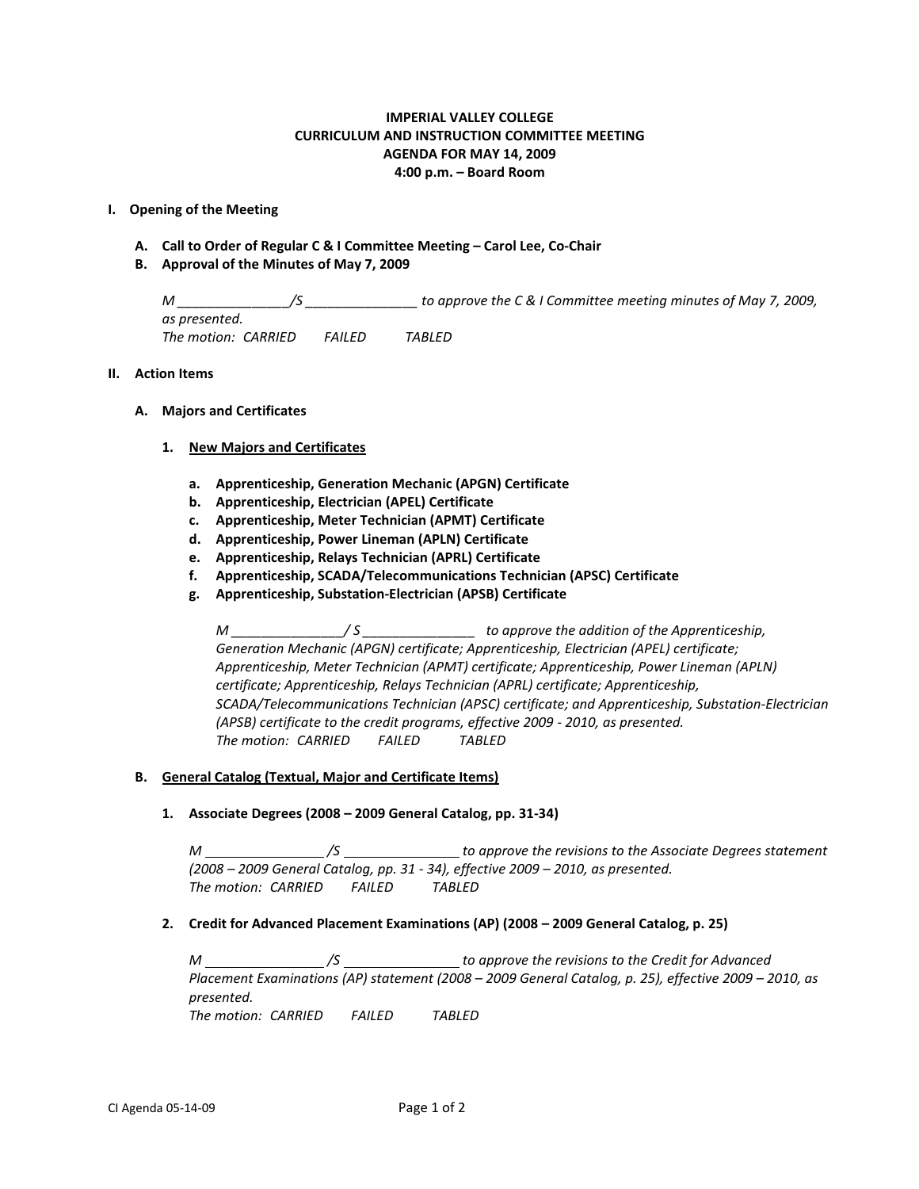# **IMPERIAL VALLEY COLLEGE CURRICULUM AND INSTRUCTION COMMITTEE MEETING AGENDA FOR MAY 14, 2009 4:00 p.m. – Board Room**

### **I. Opening of the Meeting**

- **A. Call to Order of Regular C & I Committee Meeting – Carol Lee, Co-Chair**
- **B. Approval of the Minutes of May 7, 2009**

*M \_\_\_\_\_\_\_\_\_\_\_\_\_\_\_/S \_\_\_\_\_\_\_\_\_\_\_\_\_\_\_ to approve the C & I Committee meeting minutes of May 7, 2009, as presented. The motion: CARRIED FAILED TABLED*

#### **II. Action Items**

**A. Majors and Certificates**

#### **1. New Majors and Certificates**

- **a. Apprenticeship, Generation Mechanic (APGN) Certificate**
- **b. Apprenticeship, Electrician (APEL) Certificate**
- **c. Apprenticeship, Meter Technician (APMT) Certificate**
- **d. Apprenticeship, Power Lineman (APLN) Certificate**
- **e. Apprenticeship, Relays Technician (APRL) Certificate**
- **f. Apprenticeship, SCADA/Telecommunications Technician (APSC) Certificate**
- **g. Apprenticeship, Substation-Electrician (APSB) Certificate**

*M*  $\frac{1}{2}$  / S  $\frac{1}{2}$  to approve the addition of the Apprenticeship, *Generation Mechanic (APGN) certificate; Apprenticeship, Electrician (APEL) certificate; Apprenticeship, Meter Technician (APMT) certificate; Apprenticeship, Power Lineman (APLN) certificate; Apprenticeship, Relays Technician (APRL) certificate; Apprenticeship, SCADA/Telecommunications Technician (APSC) certificate; and Apprenticeship, Substation-Electrician (APSB) certificate to the credit programs, effective 2009 - 2010, as presented. The motion: CARRIED FAILED TABLED*

#### **B. General Catalog (Textual, Major and Certificate Items)**

**1. Associate Degrees (2008 – 2009 General Catalog, pp. 31-34)**

*M /S to approve the revisions to the Associate Degrees statement (2008 – 2009 General Catalog, pp. 31 - 34), effective 2009 – 2010, as presented. The motion: CARRIED FAILED TABLED*

**2. Credit for Advanced Placement Examinations (AP) (2008 – 2009 General Catalog, p. 25)**

*M /S to approve the revisions to the Credit for Advanced Placement Examinations (AP) statement (2008 – 2009 General Catalog, p. 25), effective 2009 – 2010, as presented.*

*The motion: CARRIED FAILED TABLED*